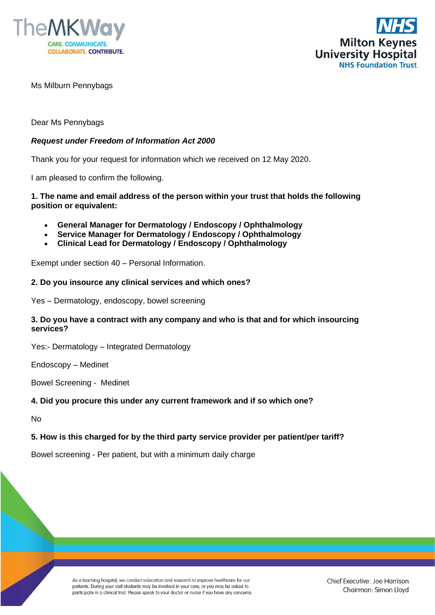



Ms Milburn Pennybags

### Dear Ms Pennybags

### *Request under Freedom of Information Act 2000*

Thank you for your request for information which we received on 12 May 2020.

I am pleased to confirm the following.

#### **1. The name and email address of the person within your trust that holds the following position or equivalent:**

- **General Manager for Dermatology / Endoscopy / Ophthalmology**
- **Service Manager for Dermatology / Endoscopy / Ophthalmology**
- **Clinical Lead for Dermatology / Endoscopy / Ophthalmology**

Exempt under section 40 – Personal Information.

#### **2. Do you insource any clinical services and which ones?**

Yes – Dermatology, endoscopy, bowel screening

### **3. Do you have a contract with any company and who is that and for which insourcing services?**

Yes:- Dermatology – Integrated Dermatology

Endoscopy – Medinet

Bowel Screening - Medinet

#### **4. Did you procure this under any current framework and if so which one?**

No

#### **5. How is this charged for by the third party service provider per patient/per tariff?**

Bowel screening - Per patient, but with a minimum daily charge

As a teaching hospital, we conduct education and research to improve healthcare for our patients. During your visit students may be involved in your care, or you may be asked to participate in a clinical trial. Please speak to your doctor or nurse if you have any concerns.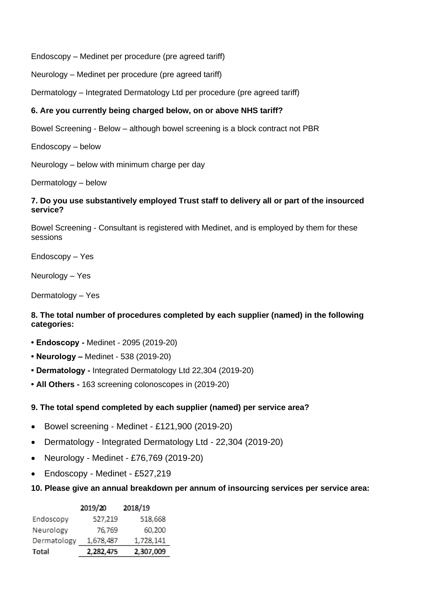Endoscopy – Medinet per procedure (pre agreed tariff)

Neurology – Medinet per procedure (pre agreed tariff)

Dermatology – Integrated Dermatology Ltd per procedure (pre agreed tariff)

# **6. Are you currently being charged below, on or above NHS tariff?**

Bowel Screening - Below – although bowel screening is a block contract not PBR

Endoscopy – below

Neurology – below with minimum charge per day

Dermatology – below

## **7. Do you use substantively employed Trust staff to delivery all or part of the insourced service?**

Bowel Screening - Consultant is registered with Medinet, and is employed by them for these sessions

Endoscopy – Yes

Neurology – Yes

Dermatology – Yes

# **8. The total number of procedures completed by each supplier (named) in the following categories:**

- **Endoscopy -** Medinet 2095 (2019-20)
- **Neurology –** Medinet 538 (2019-20)
- **Dermatology -** Integrated Dermatology Ltd 22,304 (2019-20)
- **All Others -** 163 screening colonoscopes in (2019-20)

# **9. The total spend completed by each supplier (named) per service area?**

- Bowel screening Medinet £121,900 (2019-20)
- Dermatology Integrated Dermatology Ltd 22,304 (2019-20)
- Neurology Medinet £76,769 (2019-20)
- Endoscopy Medinet £527,219
- **10. Please give an annual breakdown per annum of insourcing services per service area:**

|              | 2019/20   | 2018/19   |
|--------------|-----------|-----------|
| Endoscopy    | 527,219   | 518,668   |
| Neurology    | 76,769    | 60,200    |
| Dermatology  | 1,678,487 | 1,728,141 |
| <b>Total</b> | 2,282,475 | 2,307,009 |